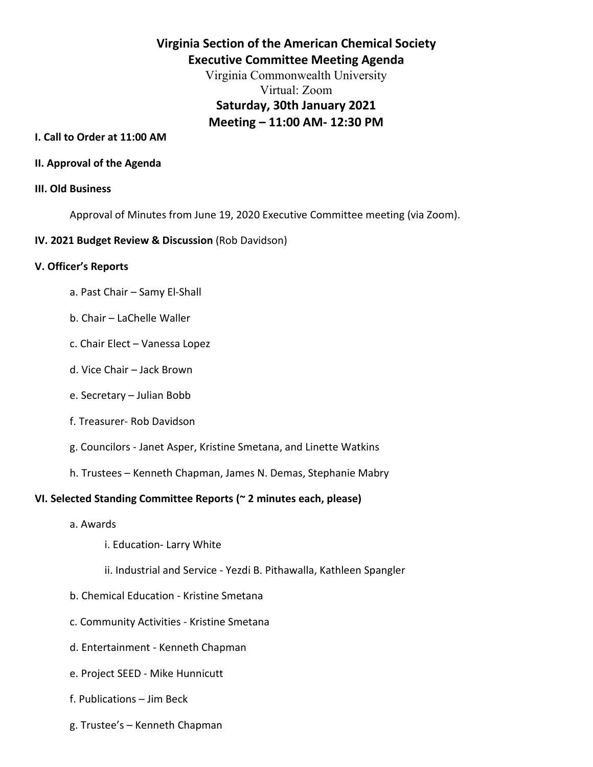# **Virginia Section of the American Chemical Society Executive Committee Meeting Agenda**

Virginia Commonwealth University Virtual: Zoom **Saturday, 30th January 2021 Meeting – 11:00 AM- 12:30 PM**

#### **I. Call to Order at 11:00 AM**

#### **II. Approval of the Agenda**

#### **III. Old Business**

Approval of Minutes from June 19, 2020 Executive Committee meeting (via Zoom).

#### **IV. 2021 Budget Review & Discussion** (Rob Davidson)

#### **V. Officer's Reports**

- a. Past Chair Samy El-Shall
- b. Chair LaChelle Waller
- c. Chair Elect Vanessa Lopez
- d. Vice Chair Jack Brown
- e. Secretary Julian Bobb
- f. Treasurer- Rob Davidson
- g. Councilors Janet Asper, Kristine Smetana, and Linette Watkins
- h. Trustees Kenneth Chapman, James N. Demas, Stephanie Mabry

### **VI. Selected Standing Committee Reports (~ 2 minutes each, please)**

- a. Awards
	- i. Education- Larry White
	- ii. Industrial and Service Yezdi B. Pithawalla, Kathleen Spangler
- b. Chemical Education Kristine Smetana
- c. Community Activities Kristine Smetana
- d. Entertainment Kenneth Chapman
- e. Project SEED Mike Hunnicutt
- f. Publications Jim Beck
- g. Trustee's Kenneth Chapman